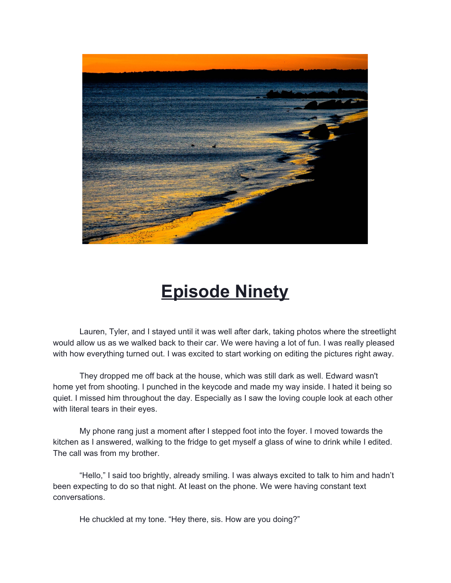

## **Episode Ninety**

Lauren, Tyler, and I stayed until it was well after dark, taking photos where the streetlight would allow us as we walked back to their car. We were having a lot of fun. I was really pleased with how everything turned out. I was excited to start working on editing the pictures right away.

They dropped me off back at the house, which was still dark as well. Edward wasn't home yet from shooting. I punched in the keycode and made my way inside. I hated it being so quiet. I missed him throughout the day. Especially as I saw the loving couple look at each other with literal tears in their eyes.

My phone rang just a moment after I stepped foot into the foyer. I moved towards the kitchen as I answered, walking to the fridge to get myself a glass of wine to drink while I edited. The call was from my brother.

"Hello," I said too brightly, already smiling. I was always excited to talk to him and hadn't been expecting to do so that night. At least on the phone. We were having constant text conversations.

He chuckled at my tone. "Hey there, sis. How are you doing?"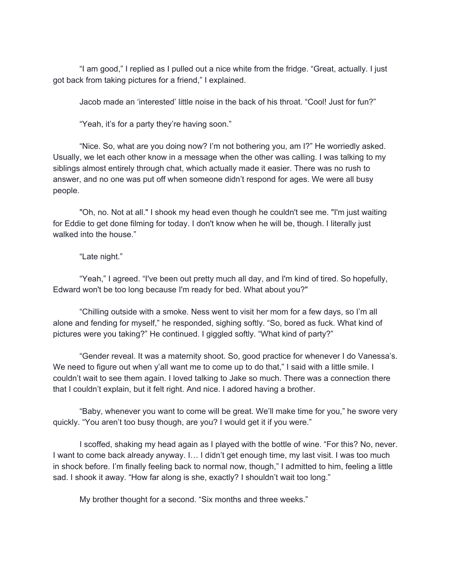"I am good," I replied as I pulled out a nice white from the fridge. "Great, actually. I just got back from taking pictures for a friend," I explained.

Jacob made an 'interested' little noise in the back of his throat. "Cool! Just for fun?"

"Yeah, it's for a party they're having soon."

"Nice. So, what are you doing now? I'm not bothering you, am I?" He worriedly asked. Usually, we let each other know in a message when the other was calling. I was talking to my siblings almost entirely through chat, which actually made it easier. There was no rush to answer, and no one was put off when someone didn't respond for ages. We were all busy people.

"Oh, no. Not at all." I shook my head even though he couldn't see me. "I'm just waiting for Eddie to get done filming for today. I don't know when he will be, though. I literally just walked into the house."

"Late night."

"Yeah," I agreed. "I've been out pretty much all day, and I'm kind of tired. So hopefully, Edward won't be too long because I'm ready for bed. What about you?"

"Chilling outside with a smoke. Ness went to visit her mom for a few days, so I'm all alone and fending for myself," he responded, sighing softly. "So, bored as fuck. What kind of pictures were you taking?" He continued. I giggled softly. "What kind of party?"

"Gender reveal. It was a maternity shoot. So, good practice for whenever I do Vanessa's. We need to figure out when y'all want me to come up to do that," I said with a little smile. I couldn't wait to see them again. I loved talking to Jake so much. There was a connection there that I couldn't explain, but it felt right. And nice. I adored having a brother.

"Baby, whenever you want to come will be great. We'll make time for you," he swore very quickly. "You aren't too busy though, are you? I would get it if you were."

I scoffed, shaking my head again as I played with the bottle of wine. "For this? No, never. I want to come back already anyway. I… I didn't get enough time, my last visit. I was too much in shock before. I'm finally feeling back to normal now, though," I admitted to him, feeling a little sad. I shook it away. "How far along is she, exactly? I shouldn't wait too long."

My brother thought for a second. "Six months and three weeks."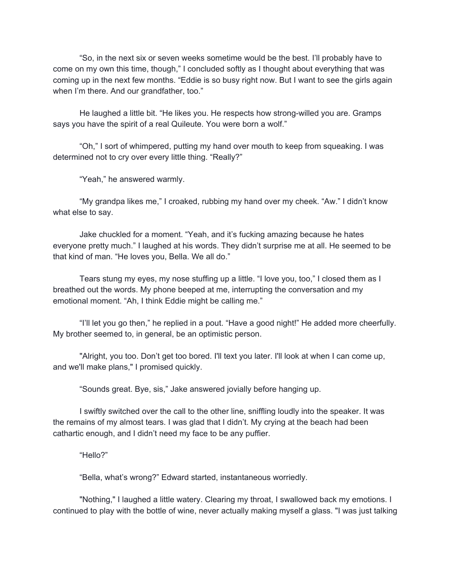"So, in the next six or seven weeks sometime would be the best. I'll probably have to come on my own this time, though," I concluded softly as I thought about everything that was coming up in the next few months. "Eddie is so busy right now. But I want to see the girls again when I'm there. And our grandfather, too."

He laughed a little bit. "He likes you. He respects how strong-willed you are. Gramps says you have the spirit of a real Quileute. You were born a wolf."

"Oh," I sort of whimpered, putting my hand over mouth to keep from squeaking. I was determined not to cry over every little thing. "Really?"

"Yeah," he answered warmly.

"My grandpa likes me," I croaked, rubbing my hand over my cheek. "Aw." I didn't know what else to say.

Jake chuckled for a moment. "Yeah, and it's fucking amazing because he hates everyone pretty much." I laughed at his words. They didn't surprise me at all. He seemed to be that kind of man. "He loves you, Bella. We all do."

Tears stung my eyes, my nose stuffing up a little. "I love you, too," I closed them as I breathed out the words. My phone beeped at me, interrupting the conversation and my emotional moment. "Ah, I think Eddie might be calling me."

"I'll let you go then," he replied in a pout. "Have a good night!" He added more cheerfully. My brother seemed to, in general, be an optimistic person.

"Alright, you too. Don't get too bored. I'll text you later. I'll look at when I can come up, and we'll make plans," I promised quickly.

"Sounds great. Bye, sis," Jake answered jovially before hanging up.

I swiftly switched over the call to the other line, sniffling loudly into the speaker. It was the remains of my almost tears. I was glad that I didn't. My crying at the beach had been cathartic enough, and I didn't need my face to be any puffier.

"Hello?"

"Bella, what's wrong?" Edward started, instantaneous worriedly.

"Nothing," I laughed a little watery. Clearing my throat, I swallowed back my emotions. I continued to play with the bottle of wine, never actually making myself a glass. "I was just talking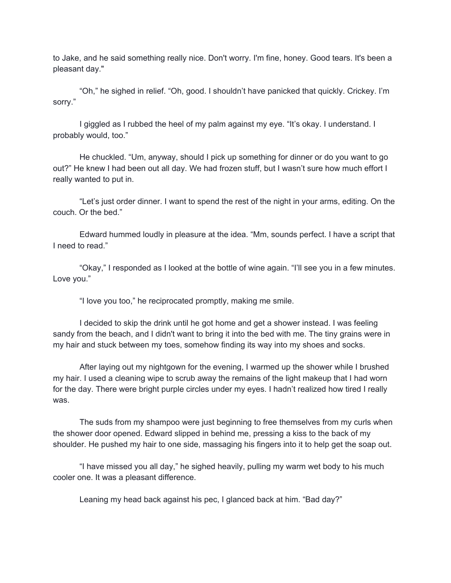to Jake, and he said something really nice. Don't worry. I'm fine, honey. Good tears. It's been a pleasant day."

"Oh," he sighed in relief. "Oh, good. I shouldn't have panicked that quickly. Crickey. I'm sorry."

I giggled as I rubbed the heel of my palm against my eye. "It's okay. I understand. I probably would, too."

He chuckled. "Um, anyway, should I pick up something for dinner or do you want to go out?" He knew I had been out all day. We had frozen stuff, but I wasn't sure how much effort I really wanted to put in.

"Let's just order dinner. I want to spend the rest of the night in your arms, editing. On the couch. Or the bed."

Edward hummed loudly in pleasure at the idea. "Mm, sounds perfect. I have a script that I need to read."

"Okay," I responded as I looked at the bottle of wine again. "I'll see you in a few minutes. Love you."

"I love you too," he reciprocated promptly, making me smile.

I decided to skip the drink until he got home and get a shower instead. I was feeling sandy from the beach, and I didn't want to bring it into the bed with me. The tiny grains were in my hair and stuck between my toes, somehow finding its way into my shoes and socks.

After laying out my nightgown for the evening, I warmed up the shower while I brushed my hair. I used a cleaning wipe to scrub away the remains of the light makeup that I had worn for the day. There were bright purple circles under my eyes. I hadn't realized how tired I really was.

The suds from my shampoo were just beginning to free themselves from my curls when the shower door opened. Edward slipped in behind me, pressing a kiss to the back of my shoulder. He pushed my hair to one side, massaging his fingers into it to help get the soap out.

"I have missed you all day," he sighed heavily, pulling my warm wet body to his much cooler one. It was a pleasant difference.

Leaning my head back against his pec, I glanced back at him. "Bad day?"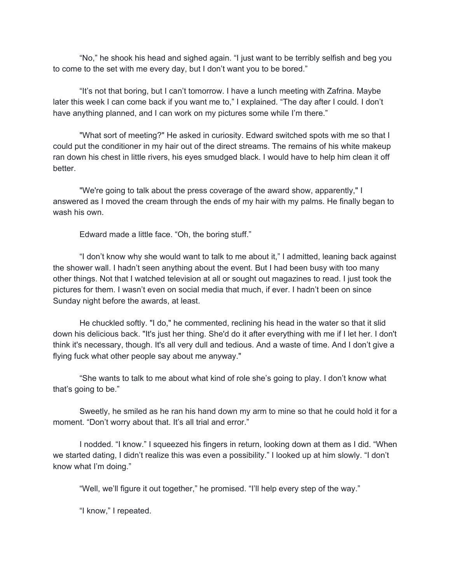"No," he shook his head and sighed again. "I just want to be terribly selfish and beg you to come to the set with me every day, but I don't want you to be bored."

"It's not that boring, but I can't tomorrow. I have a lunch meeting with Zafrina. Maybe later this week I can come back if you want me to," I explained. "The day after I could. I don't have anything planned, and I can work on my pictures some while I'm there."

"What sort of meeting?" He asked in curiosity. Edward switched spots with me so that I could put the conditioner in my hair out of the direct streams. The remains of his white makeup ran down his chest in little rivers, his eyes smudged black. I would have to help him clean it off better.

"We're going to talk about the press coverage of the award show, apparently," I answered as I moved the cream through the ends of my hair with my palms. He finally began to wash his own.

Edward made a little face. "Oh, the boring stuff."

"I don't know why she would want to talk to me about it," I admitted, leaning back against the shower wall. I hadn't seen anything about the event. But I had been busy with too many other things. Not that I watched television at all or sought out magazines to read. I just took the pictures for them. I wasn't even on social media that much, if ever. I hadn't been on since Sunday night before the awards, at least.

He chuckled softly. "I do," he commented, reclining his head in the water so that it slid down his delicious back. "It's just her thing. She'd do it after everything with me if I let her. I don't think it's necessary, though. It's all very dull and tedious. And a waste of time. And I don't give a flying fuck what other people say about me anyway."

"She wants to talk to me about what kind of role she's going to play. I don't know what that's going to be."

Sweetly, he smiled as he ran his hand down my arm to mine so that he could hold it for a moment. "Don't worry about that. It's all trial and error."

I nodded. "I know." I squeezed his fingers in return, looking down at them as I did. "When we started dating, I didn't realize this was even a possibility." I looked up at him slowly. "I don't know what I'm doing."

"Well, we'll figure it out together," he promised. "I'll help every step of the way."

"I know," I repeated.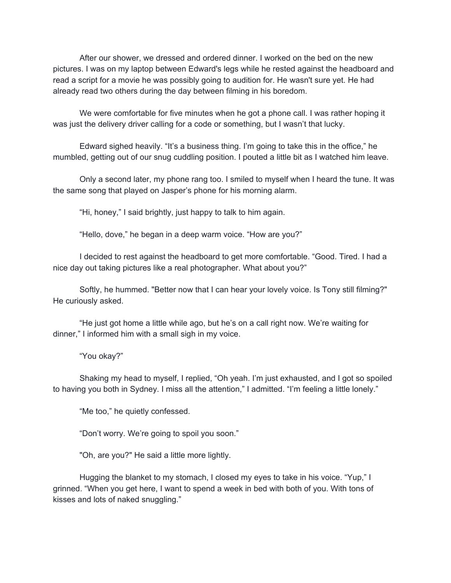After our shower, we dressed and ordered dinner. I worked on the bed on the new pictures. I was on my laptop between Edward's legs while he rested against the headboard and read a script for a movie he was possibly going to audition for. He wasn't sure yet. He had already read two others during the day between filming in his boredom.

We were comfortable for five minutes when he got a phone call. I was rather hoping it was just the delivery driver calling for a code or something, but I wasn't that lucky.

Edward sighed heavily. "It's a business thing. I'm going to take this in the office," he mumbled, getting out of our snug cuddling position. I pouted a little bit as I watched him leave.

Only a second later, my phone rang too. I smiled to myself when I heard the tune. It was the same song that played on Jasper's phone for his morning alarm.

"Hi, honey," I said brightly, just happy to talk to him again.

"Hello, dove," he began in a deep warm voice. "How are you?"

I decided to rest against the headboard to get more comfortable. "Good. Tired. I had a nice day out taking pictures like a real photographer. What about you?"

Softly, he hummed. "Better now that I can hear your lovely voice. Is Tony still filming?" He curiously asked.

"He just got home a little while ago, but he's on a call right now. We're waiting for dinner," I informed him with a small sigh in my voice.

"You okay?"

Shaking my head to myself, I replied, "Oh yeah. I'm just exhausted, and I got so spoiled to having you both in Sydney. I miss all the attention," I admitted. "I'm feeling a little lonely."

"Me too," he quietly confessed.

"Don't worry. We're going to spoil you soon."

"Oh, are you?" He said a little more lightly.

Hugging the blanket to my stomach, I closed my eyes to take in his voice. "Yup," I grinned. "When you get here, I want to spend a week in bed with both of you. With tons of kisses and lots of naked snuggling."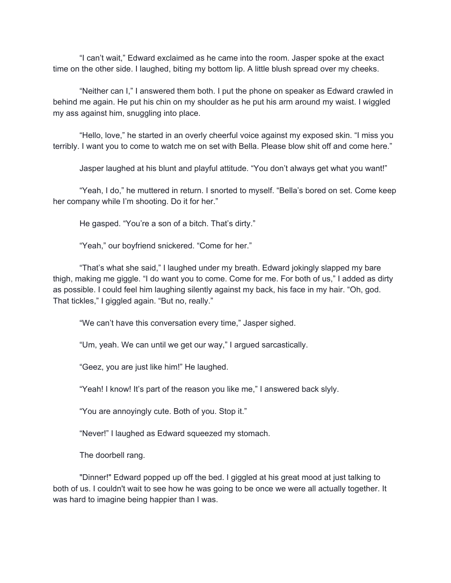"I can't wait," Edward exclaimed as he came into the room. Jasper spoke at the exact time on the other side. I laughed, biting my bottom lip. A little blush spread over my cheeks.

"Neither can I," I answered them both. I put the phone on speaker as Edward crawled in behind me again. He put his chin on my shoulder as he put his arm around my waist. I wiggled my ass against him, snuggling into place.

"Hello, love," he started in an overly cheerful voice against my exposed skin. "I miss you terribly. I want you to come to watch me on set with Bella. Please blow shit off and come here."

Jasper laughed at his blunt and playful attitude. "You don't always get what you want!"

"Yeah, I do," he muttered in return. I snorted to myself. "Bella's bored on set. Come keep her company while I'm shooting. Do it for her."

He gasped. "You're a son of a bitch. That's dirty."

"Yeah," our boyfriend snickered. "Come for her."

"That's what she said," I laughed under my breath. Edward jokingly slapped my bare thigh, making me giggle. "I do want you to come. Come for me. For both of us," I added as dirty as possible. I could feel him laughing silently against my back, his face in my hair. "Oh, god. That tickles," I giggled again. "But no, really."

"We can't have this conversation every time," Jasper sighed.

"Um, yeah. We can until we get our way," I argued sarcastically.

"Geez, you are just like him!" He laughed.

"Yeah! I know! It's part of the reason you like me," I answered back slyly.

"You are annoyingly cute. Both of you. Stop it."

"Never!" I laughed as Edward squeezed my stomach.

The doorbell rang.

"Dinner!" Edward popped up off the bed. I giggled at his great mood at just talking to both of us. I couldn't wait to see how he was going to be once we were all actually together. It was hard to imagine being happier than I was.